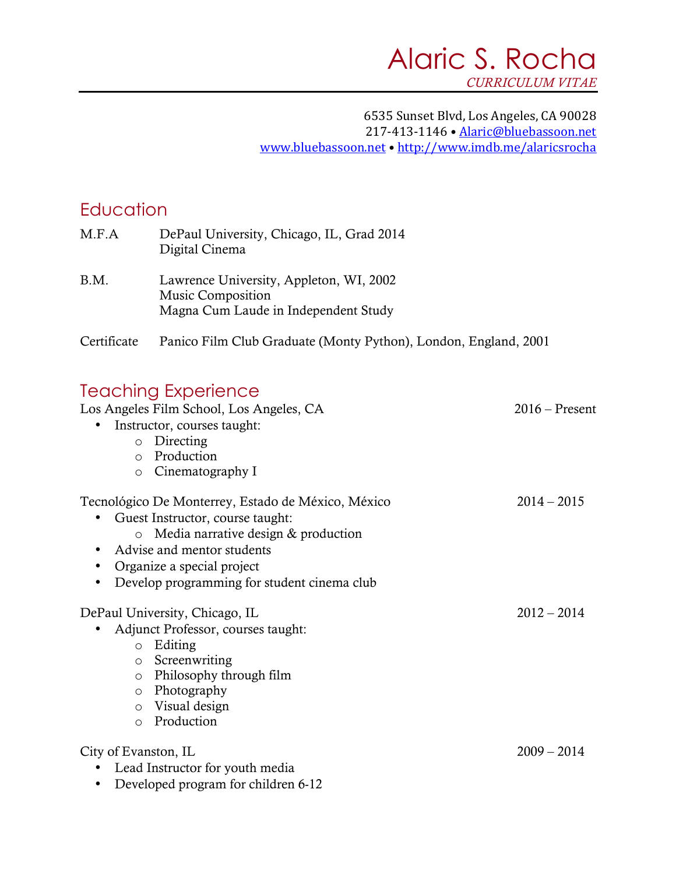#### 6535 Sunset Blvd, Los Angeles, CA 90028 217-413-1146 · Alaric@bluebassoon.net www.bluebassoon.net • http://www.imdb.me/alaricsrocha

#### **Education**

| M.F.A                             | DePaul University, Chicago, IL, Grad 2014<br>Digital Cinema                                                                                                                                                                              |                  |
|-----------------------------------|------------------------------------------------------------------------------------------------------------------------------------------------------------------------------------------------------------------------------------------|------------------|
| B.M.                              | Lawrence University, Appleton, WI, 2002<br>Music Composition<br>Magna Cum Laude in Independent Study                                                                                                                                     |                  |
| Certificate                       | Panico Film Club Graduate (Monty Python), London, England, 2001                                                                                                                                                                          |                  |
| $\circ$                           | <b>Teaching Experience</b><br>Los Angeles Film School, Los Angeles, CA<br>Instructor, courses taught:<br>o Directing<br>o Production<br>Cinematography I                                                                                 | $2016$ – Present |
| $\circ$<br>$\bullet$<br>$\bullet$ | Tecnológico De Monterrey, Estado de México, México<br>Guest Instructor, course taught:<br>Media narrative design & production<br>Advise and mentor students<br>Organize a special project<br>Develop programming for student cinema club | $2014 - 2015$    |
|                                   | DePaul University, Chicago, IL<br>Adjunct Professor, courses taught:<br>o Editing<br>o Screenwriting<br>o Philosophy through film<br>o Photography<br>o Visual design<br>o Production                                                    | $2012 - 2014$    |
| City of Evanston, IL              | Lead Instructor for youth media<br>Developed program for children 6-12                                                                                                                                                                   | $2009 - 2014$    |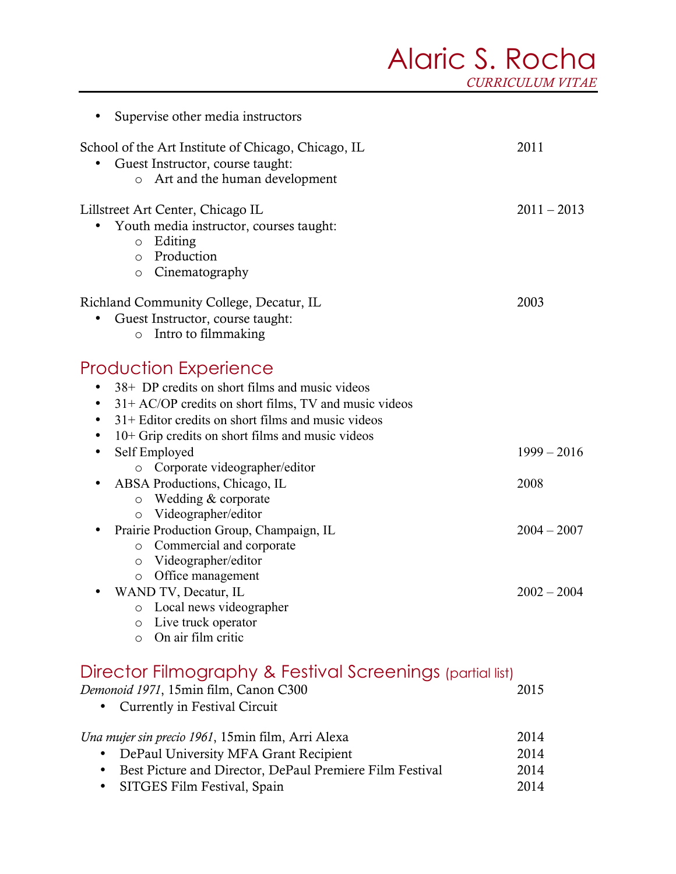# Alaric S. Rocha *CURRICULUM VITAE*

| Supervise other media instructors                                                                                                                                                                                                                                                                                                                                                                                                                                                                                                                                                                                                                                                                                          |                                                         |
|----------------------------------------------------------------------------------------------------------------------------------------------------------------------------------------------------------------------------------------------------------------------------------------------------------------------------------------------------------------------------------------------------------------------------------------------------------------------------------------------------------------------------------------------------------------------------------------------------------------------------------------------------------------------------------------------------------------------------|---------------------------------------------------------|
| School of the Art Institute of Chicago, Chicago, IL<br>Guest Instructor, course taught:<br>Art and the human development<br>$\circ$                                                                                                                                                                                                                                                                                                                                                                                                                                                                                                                                                                                        | 2011                                                    |
| Lillstreet Art Center, Chicago IL<br>Youth media instructor, courses taught:<br>$\circ$ Editing<br>Production<br>$\circ$<br>Cinematography<br>$\circ$                                                                                                                                                                                                                                                                                                                                                                                                                                                                                                                                                                      | $2011 - 2013$                                           |
| Richland Community College, Decatur, IL<br>Guest Instructor, course taught:<br>$\bullet$<br>o Intro to filmmaking                                                                                                                                                                                                                                                                                                                                                                                                                                                                                                                                                                                                          | 2003                                                    |
| Production Experience<br>38+ DP credits on short films and music videos<br>$31+$ AC/OP credits on short films, TV and music videos<br>٠<br>31+ Editor credits on short films and music videos<br>٠<br>10+ Grip credits on short films and music videos<br>$\bullet$<br>Self Employed<br>$\bullet$<br>Corporate videographer/editor<br>$\circ$<br>ABSA Productions, Chicago, IL<br>$\bullet$<br>Wedding & corporate<br>O<br>Videographer/editor<br>0<br>Prairie Production Group, Champaign, IL<br>$\bullet$<br>o Commercial and corporate<br>Videographer/editor<br>$\circ$<br>Office management<br>O<br>WAND TV, Decatur, IL<br>Local news videographer<br>O<br>Live truck operator<br>O<br>On air film critic<br>$\circ$ | $1999 - 2016$<br>2008<br>$2004 - 2007$<br>$2002 - 2004$ |
| Director Filmography & Festival Screenings (partial list)<br>Demonoid 1971, 15min film, Canon C300<br>Currently in Festival Circuit                                                                                                                                                                                                                                                                                                                                                                                                                                                                                                                                                                                        | 2015                                                    |
| Una mujer sin precio 1961, 15min film, Arri Alexa<br>DePaul University MFA Grant Recipient<br>Best Picture and Director DePaul Premiere Film Festival                                                                                                                                                                                                                                                                                                                                                                                                                                                                                                                                                                      | 2014<br>2014<br>2014                                    |

 Best Picture and Director, DePaul Premiere Film Festival 2014 • SITGES Film Festival, Spain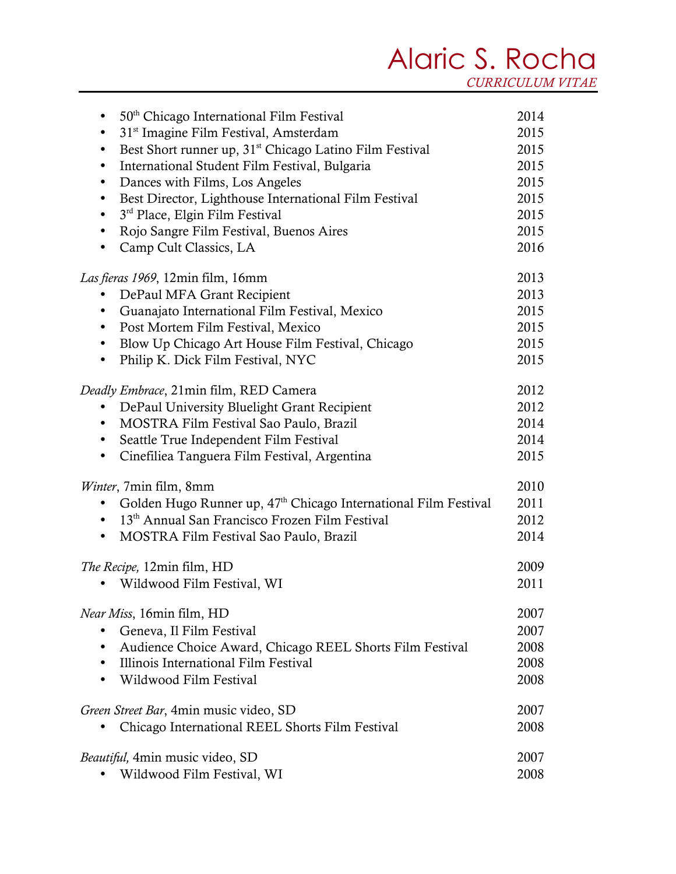## Alaric S. Rocha *CURRICULUM VITAE*

| 50 <sup>th</sup> Chicago International Film Festival<br>$\bullet$                | 2014 |
|----------------------------------------------------------------------------------|------|
| 31 <sup>st</sup> Imagine Film Festival, Amsterdam<br>$\bullet$                   | 2015 |
| Best Short runner up, 31 <sup>st</sup> Chicago Latino Film Festival<br>$\bullet$ | 2015 |
| International Student Film Festival, Bulgaria<br>$\bullet$                       | 2015 |
| Dances with Films, Los Angeles<br>$\bullet$                                      | 2015 |
| Best Director, Lighthouse International Film Festival<br>$\bullet$               | 2015 |
| 3 <sup>rd</sup> Place, Elgin Film Festival<br>$\bullet$                          | 2015 |
| Rojo Sangre Film Festival, Buenos Aires<br>٠                                     | 2015 |
| Camp Cult Classics, LA                                                           | 2016 |
| <i>Las fieras 1969, 12min film, 16mm</i>                                         | 2013 |
| DePaul MFA Grant Recipient<br>$\bullet$                                          | 2013 |
| Guanajato International Film Festival, Mexico<br>$\bullet$                       | 2015 |
| Post Mortem Film Festival, Mexico<br>$\bullet$                                   | 2015 |
| Blow Up Chicago Art House Film Festival, Chicago<br>$\bullet$                    | 2015 |
| Philip K. Dick Film Festival, NYC<br>$\bullet$                                   | 2015 |
| <i>Deadly Embrace</i> , 21min film, RED Camera                                   | 2012 |
| DePaul University Bluelight Grant Recipient<br>$\bullet$                         | 2012 |
| MOSTRA Film Festival Sao Paulo, Brazil<br>$\bullet$                              | 2014 |
| Seattle True Independent Film Festival<br>$\bullet$                              | 2014 |
| Cinefiliea Tanguera Film Festival, Argentina<br>٠                                | 2015 |
| <i>Winter</i> , 7min film, 8mm                                                   | 2010 |
| Golden Hugo Runner up, 47 <sup>th</sup> Chicago International Film Festival      | 2011 |
| • 13 <sup>th</sup> Annual San Francisco Frozen Film Festival                     | 2012 |
| MOSTRA Film Festival Sao Paulo, Brazil<br>$\bullet$                              | 2014 |
| The Recipe, 12min film, HD                                                       | 2009 |
| Wildwood Film Festival, WI                                                       | 2011 |
| <i>Near Miss</i> , 16min film, HD                                                | 2007 |
| Geneva, Il Film Festival                                                         | 2007 |
| Audience Choice Award, Chicago REEL Shorts Film Festival                         | 2008 |
| Illinois International Film Festival                                             | 2008 |
| Wildwood Film Festival                                                           | 2008 |
| Green Street Bar, 4min music video, SD                                           | 2007 |
| Chicago International REEL Shorts Film Festival                                  | 2008 |
| Beautiful, 4min music video, SD                                                  | 2007 |
| Wildwood Film Festival, WI                                                       | 2008 |